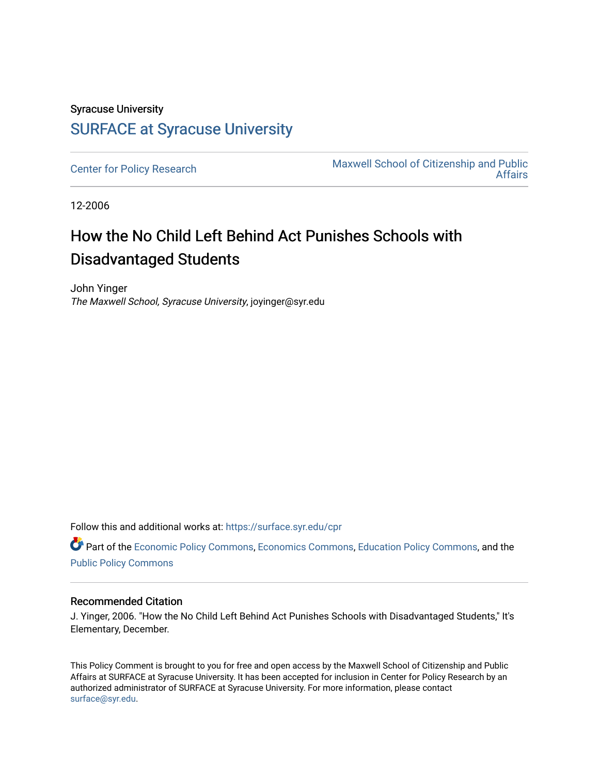## Syracuse University [SURFACE at Syracuse University](https://surface.syr.edu/)

[Center for Policy Research](https://surface.syr.edu/cpr) Maxwell School of Citizenship and Public [Affairs](https://surface.syr.edu/maxwell) 

12-2006

## How the No Child Left Behind Act Punishes Schools with Disadvantaged Students

John Yinger The Maxwell School, Syracuse University, joyinger@syr.edu

Follow this and additional works at: [https://surface.syr.edu/cpr](https://surface.syr.edu/cpr?utm_source=surface.syr.edu%2Fcpr%2F307&utm_medium=PDF&utm_campaign=PDFCoverPages) 

Part of the [Economic Policy Commons](http://network.bepress.com/hgg/discipline/1025?utm_source=surface.syr.edu%2Fcpr%2F307&utm_medium=PDF&utm_campaign=PDFCoverPages), [Economics Commons,](http://network.bepress.com/hgg/discipline/340?utm_source=surface.syr.edu%2Fcpr%2F307&utm_medium=PDF&utm_campaign=PDFCoverPages) [Education Policy Commons](http://network.bepress.com/hgg/discipline/1026?utm_source=surface.syr.edu%2Fcpr%2F307&utm_medium=PDF&utm_campaign=PDFCoverPages), and the [Public Policy Commons](http://network.bepress.com/hgg/discipline/400?utm_source=surface.syr.edu%2Fcpr%2F307&utm_medium=PDF&utm_campaign=PDFCoverPages)

## Recommended Citation

J. Yinger, 2006. "How the No Child Left Behind Act Punishes Schools with Disadvantaged Students," It's Elementary, December.

This Policy Comment is brought to you for free and open access by the Maxwell School of Citizenship and Public Affairs at SURFACE at Syracuse University. It has been accepted for inclusion in Center for Policy Research by an authorized administrator of SURFACE at Syracuse University. For more information, please contact [surface@syr.edu.](mailto:surface@syr.edu)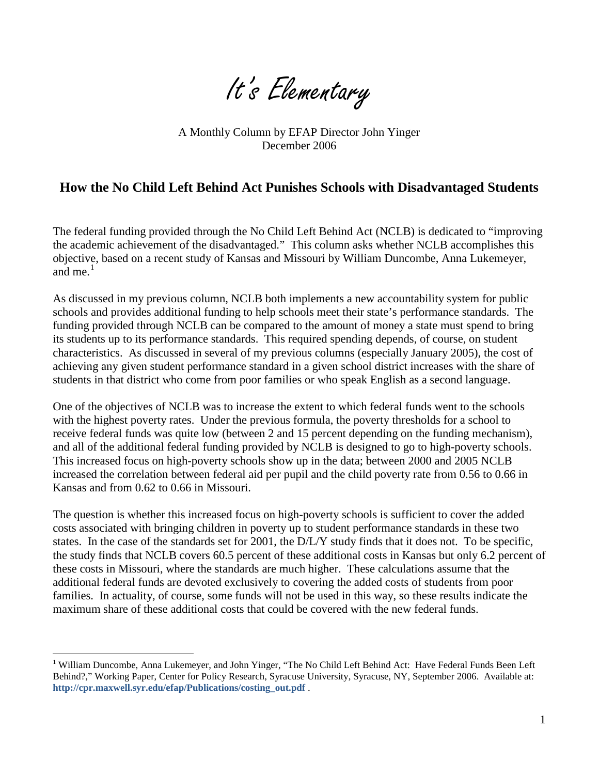It's Elementary

A Monthly Column by EFAP Director John Yinger December 2006

## **How the No Child Left Behind Act Punishes Schools with Disadvantaged Students**

The federal funding provided through the No Child Left Behind Act (NCLB) is dedicated to "improving the academic achievement of the disadvantaged." This column asks whether NCLB accomplishes this objective, based on a recent study of Kansas and Missouri by William Duncombe, Anna Lukemeyer, and me. $<sup>1</sup>$  $<sup>1</sup>$  $<sup>1</sup>$ </sup>

As discussed in my previous column, NCLB both implements a new accountability system for public schools and provides additional funding to help schools meet their state's performance standards. The funding provided through NCLB can be compared to the amount of money a state must spend to bring its students up to its performance standards. This required spending depends, of course, on student characteristics. As discussed in several of my previous columns (especially January 2005), the cost of achieving any given student performance standard in a given school district increases with the share of students in that district who come from poor families or who speak English as a second language.

One of the objectives of NCLB was to increase the extent to which federal funds went to the schools with the highest poverty rates. Under the previous formula, the poverty thresholds for a school to receive federal funds was quite low (between 2 and 15 percent depending on the funding mechanism), and all of the additional federal funding provided by NCLB is designed to go to high-poverty schools. This increased focus on high-poverty schools show up in the data; between 2000 and 2005 NCLB increased the correlation between federal aid per pupil and the child poverty rate from 0.56 to 0.66 in Kansas and from 0.62 to 0.66 in Missouri.

The question is whether this increased focus on high-poverty schools is sufficient to cover the added costs associated with bringing children in poverty up to student performance standards in these two states. In the case of the standards set for 2001, the D/L/Y study finds that it does not. To be specific, the study finds that NCLB covers 60.5 percent of these additional costs in Kansas but only 6.2 percent of these costs in Missouri, where the standards are much higher. These calculations assume that the additional federal funds are devoted exclusively to covering the added costs of students from poor families. In actuality, of course, some funds will not be used in this way, so these results indicate the maximum share of these additional costs that could be covered with the new federal funds.

 $\overline{a}$ 

<span id="page-1-1"></span><span id="page-1-0"></span><sup>&</sup>lt;sup>1</sup> William Duncombe, Anna Lukemeyer, and John Yinger, "The No Child Left Behind Act: Have Federal Funds Been Left Behind?," Working Paper, Center for Policy Research, Syracuse University, Syracuse, NY, September 2006. Available at: **[http://cpr.maxwell.syr.edu/efap/Publications/costing\\_out.pdf](http://cpr.maxwell.syr.edu/efap/Publications/costing_out.pdf)** .